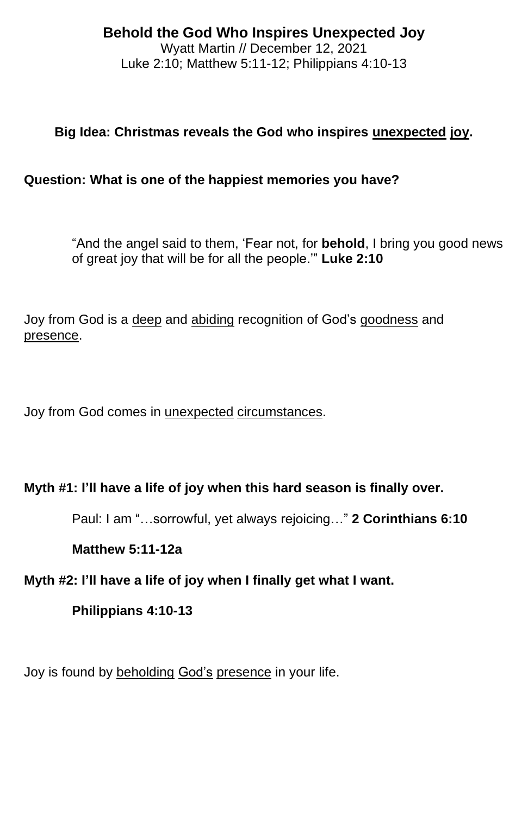#### **Behold the God Who Inspires Unexpected Joy** Wyatt Martin // December 12, 2021 Luke 2:10; Matthew 5:11-12; Philippians 4:10-13

# **Big Idea: Christmas reveals the God who inspires unexpected joy.**

### **Question: What is one of the happiest memories you have?**

"And the angel said to them, 'Fear not, for **behold**, I bring you good news of great joy that will be for all the people.'" **Luke 2:10**

Joy from God is a deep and abiding recognition of God's goodness and presence.

Joy from God comes in unexpected circumstances.

### **Myth #1: I'll have a life of joy when this hard season is finally over.**

Paul: I am "…sorrowful, yet always rejoicing…" **2 Corinthians 6:10**

#### **Matthew 5:11-12a**

### **Myth #2: I'll have a life of joy when I finally get what I want.**

### **Philippians 4:10-13**

Joy is found by beholding God's presence in your life.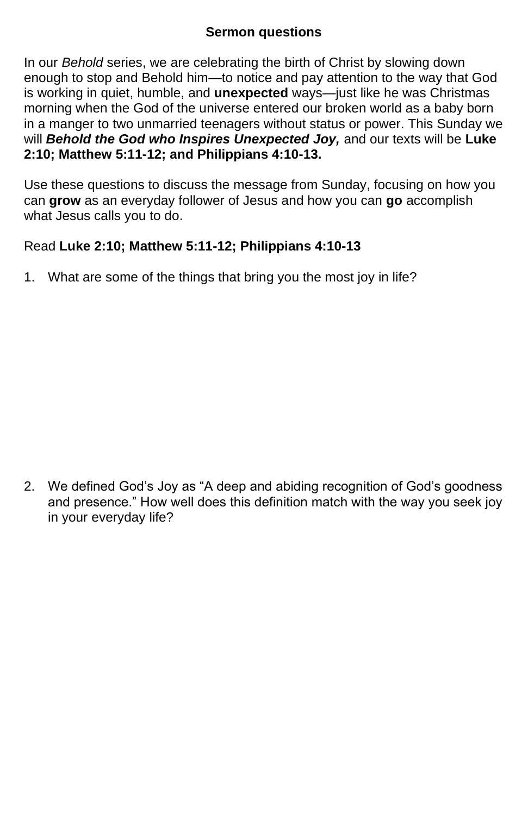### **Sermon questions**

In our *Behold* series, we are celebrating the birth of Christ by slowing down enough to stop and Behold him—to notice and pay attention to the way that God is working in quiet, humble, and **unexpected** ways—just like he was Christmas morning when the God of the universe entered our broken world as a baby born in a manger to two unmarried teenagers without status or power. This Sunday we will *Behold the God who Inspires Unexpected Joy,* and our texts will be **Luke 2:10; Matthew 5:11-12; and Philippians 4:10-13.**

Use these questions to discuss the message from Sunday, focusing on how you can **grow** as an everyday follower of Jesus and how you can **go** accomplish what Jesus calls you to do.

## Read **Luke 2:10; Matthew 5:11-12; Philippians 4:10-13**

1. What are some of the things that bring you the most joy in life?

2. We defined God's Joy as "A deep and abiding recognition of God's goodness and presence." How well does this definition match with the way you seek joy in your everyday life?